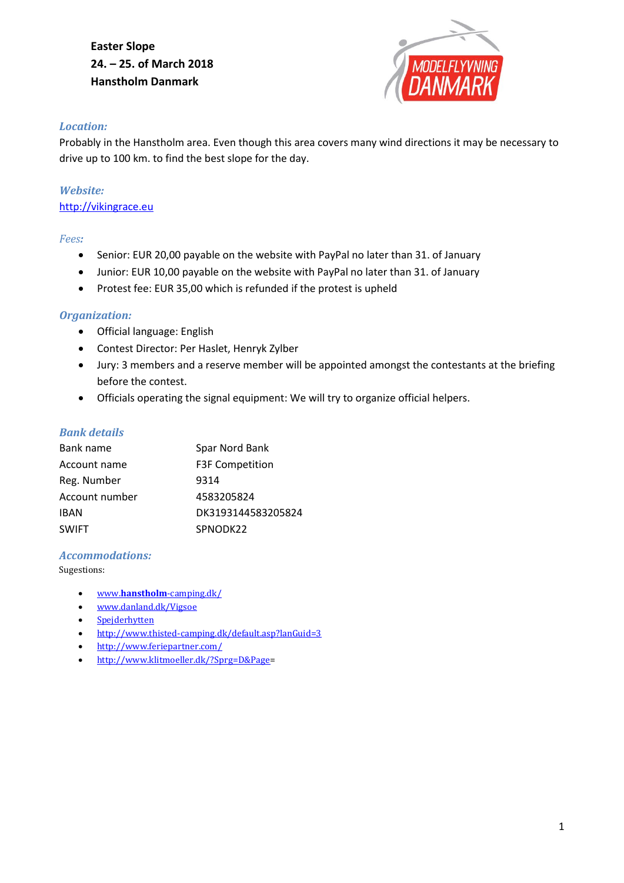## **Easter Slope 24. – 25. of March 2018 Hanstholm Danmark**



#### *Location:*

Probably in the Hanstholm area. Even though this area covers many wind directions it may be necessary to drive up to 100 km. to find the best slope for the day.

# *Website:*

[http://vikingrace.eu](http://vikingrace.eu/)

#### *Fees:*

- Senior: EUR 20,00 payable on the website with PayPal no later than 31. of January
- Junior: EUR 10,00 payable on the website with PayPal no later than 31. of January
- Protest fee: EUR 35,00 which is refunded if the protest is upheld

#### *Organization:*

- Official language: English
- Contest Director: Per Haslet, Henryk Zylber
- Jury: 3 members and a reserve member will be appointed amongst the contestants at the briefing before the contest.
- Officials operating the signal equipment: We will try to organize official helpers.

#### *Bank details*

| Bank name      | Spar Nord Bank         |
|----------------|------------------------|
| Account name   | <b>F3F Competition</b> |
| Reg. Number    | 9314                   |
| Account number | 4583205824             |
| <b>IBAN</b>    | DK3193144583205824     |
| <b>SWIFT</b>   | SPNODK22               |

#### *Accommodations:*

Sugestions:

- www.**hanstholm**[-camping.dk/](http://www.hanstholm-camping.dk/)
- [www.danland.dk/Vigsoe](http://www.danland.dk/Vigsoe)
- [Spejderhytten](http://www.hanstholmkfumspejderne.dk/gr%C3%A6shytten.asp)
- <http://www.thisted-camping.dk/default.asp?lanGuid=3>
- <http://www.feriepartner.com/>
- [http://www.klitmoeller.dk/?Sprg=D&Page=](http://www.klitmoeller.dk/?Sprg=D&Page)